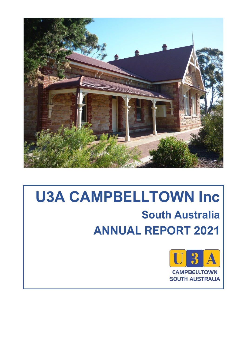

# **U3A CAMPBELLTOWN Inc South Australia ANNUAL REPORT 2021**

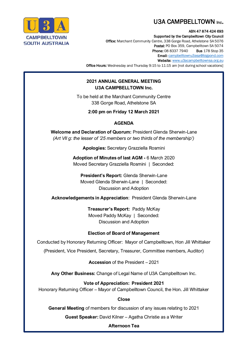

í

# U3A CAMPBELLTOWN Inc.

#### ABN 47 874 424 693

Supported by the Campbelltown City Council Office: Marchant Community Centre, 338 Gorge Road, Athelstone SA 5076 Postal: PO Box 359, Campbelltown SA 5074 **Phone: 08 8337 7940 Bus 178 Stop 35** 

Email: [campbelltownu3asa@bigpond.com](mailto:campbelltownu3asa@bigpond.com) Website: [www.u3acampbelltownsa.org.au](http://www.u3acampbelltownsa.org.au/)

Office Hours: Wednesday and Thursday 9:15 to 11:15 am [not during school vacations]

# **2021 ANNUAL GENERAL MEETING U3A CAMPBELLTOWN Inc.**

To be held at the Marchant Community Centre 338 Gorge Road, Athelstone SA

**2:00 pm on Friday 12 March 2021**

#### **AGENDA**

**Welcome and Declaration of Quorum:** President Glenda Sherwin-Lane *(Art VII g: the lesser of '25 members or two thirds of the membership')*

**Apologies:** Secretary Grazziella Rosmini

**Adoption of Minutes of last AGM -** 6 March 2020 Moved Secretary Grazziella Rosmini | Seconded:

**President's Report:** Glenda Sherwin-Lane Moved Glenda Sherwin-Lane | Seconded: Discussion and Adoption

**Acknowledgements in Appreciation**: President Glenda Sherwin-Lane

**Treasurer's Report:** Paddy McKay Moved Paddy McKay | Seconded: Discussion and Adoption

#### **Election of Board of Management**

Conducted by Honorary Returning Officer: Mayor of Campbelltown, Hon Jill Whittaker

(President, Vice President, Secretary, Treasurer, Committee members, Auditor)

**Accession** of the President – 2021

**Any Other Business:** Change of Legal Name of U3A Campbelltown Inc.

**Vote of Appreciation: President 2021** Honorary Returning Officer – Mayor of Campbelltown Council, the Hon. Jill Whittaker

#### **Close**

**General Meeting** of members for discussion of any issues relating to 2021

**Guest Speaker:** David Kilner – Agatha Christie as a Writer

#### **Afternoon Tea**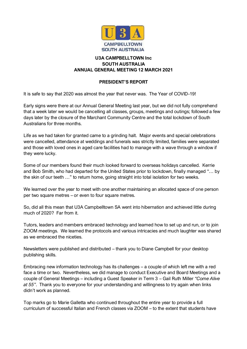

# **U3A CAMPBELLTOWN Inc SOUTH AUSTRALIA ANNUAL GENERAL MEETING 12 MARCH 2021**

# **PRESIDENT'S REPORT**

It is safe to say that 2020 was almost the year that never was. The Year of COVID-19!

Early signs were there at our Annual General Meeting last year, but we did not fully comprehend that a week later we would be cancelling all classes, groups, meetings and outings; followed a few days later by the closure of the Marchant Community Centre and the total lockdown of South Australians for three months.

Life as we had taken for granted came to a grinding halt. Major events and special celebrations were cancelled, attendance at weddings and funerals was strictly limited, families were separated and those with loved ones in aged care facilities had to manage with a wave through a window if they were lucky.

Some of our members found their much looked forward to overseas holidays cancelled. Kerrie and Bob Smith, who had departed for the United States prior to lockdown, finally managed "… by the skin of our teeth …" to return home, going straight into total isolation for two weeks.

We learned over the year to meet with one another maintaining an allocated space of one person per two square metres – or even to four square metres.

So, did all this mean that U3A Campbelltown SA went into hibernation and achieved little during much of 2020? Far from it.

Tutors, leaders and members embraced technology and learned how to set up and run, or to join ZOOM meetings. We learned the protocols and various intricacies and much laughter was shared as we embraced the niceties.

Newsletters were published and distributed – thank you to Diane Campbell for your desktop publishing skills.

Embracing new information technology has its challenges – a couple of which left me with a red face a time or two. Nevertheless, we did manage to conduct Executive and Board Meetings and a couple of General Meetings – including a Guest Speaker in Term 3 – Gail Ruth Miller *"Come Alive at 55"*. Thank you to everyone for your understanding and willingness to try again when links didn't work as planned.

Top marks go to Marie Galletta who continued throughout the entire year to provide a full curriculum of successful Italian and French classes via ZOOM – to the extent that students have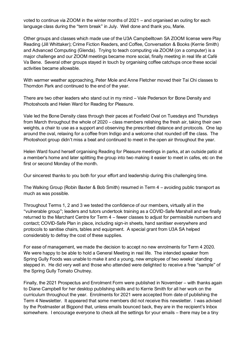voted to continue via ZOOM in the winter months of 2021 – and organised an outing for each language class during the "term break" in July. Well done and thank you, Marie.

Other groups and classes which made use of the U3A Campbelltown SA ZOOM license were Play Reading (Jill Whittaker); Crime Fiction Readers, and Coffee, Conversation & Books (Kerrie Smith) and Advanced Computing (Glenda). Trying to teach computing via ZOOM (on a computer) is a major challenge and our ZOOM meetings became more social, finally meeting in real life at Café Va Bene. Several other groups stayed in touch by organising coffee catchups once these social activities became allowable.

With warmer weather approaching, Peter Mole and Anne Fletcher moved their Tai Chi classes to Thorndon Park and continued to the end of the year.

There are two other leaders who stand out in my mind – Vale Pederson for Bone Density and Photoshoots and Helen Ward for Reading for Pleasure.

Vale led the Bone Density class through their paces at Foxfield Oval on Tuesdays and Thursdays from March throughout the whole of 2020 – class members relishing the fresh air, taking their own weights, a chair to use as a support and observing the prescribed distance and protocols. One lap around the oval, relaxing for a coffee from Indigo and a welcome chat rounded off the class. The Photoshoot group didn't miss a beat and continued to meet in the open air throughout the year.

Helen Ward found herself organising Reading for Pleasure meetings in parks, at an outside patio at a member's home and later splitting the group into two making it easier to meet in cafes, etc on the first or second Monday of the month.

Our sincerest thanks to you both for your effort and leadership during this challenging time.

The Walking Group (Robin Baxter & Bob Smith) resumed in Term 4 – avoiding public transport as much as was possible.

Throughout Terms 1, 2 and 3 we tested the confidence of our members, virtually all in the "vulnerable group"; leaders and tutors undertook training as a COVID-Safe Marshall and we finally returned to the Marchant Centre for Term 4 – fewer classes to adjust for permissible numbers and contact; COVID-Safe Plan in place, including sign-in sheets, hand sanitiser everywhere and protocols to sanitise chairs, tables and equipment. A special grant from U3A SA helped considerably to defray the cost of these supplies.

For ease of management, we made the decision to accept no new enrolments for Term 4 2020. We were happy to be able to hold a General Meeting in real life. The intended speaker from Spring Gully Foods was unable to make it and a young, new employee of two weeks' standing stepped in. He did very well and those who attended were delighted to receive a free "sample" of the Spring Gully Tomato Chutney.

Finally, the 2021 Prospectus and Enrolment Form were published in November – with thanks again to Diane Campbell for her desktop publishing skills and to Kerrie Smith for all her work on the curriculum throughout the year. Enrolments for 2021 were accepted from date of publishing the Term 4 Newsletter. It appeared that some members did not receive this newsletter. I was advised by the Postmaster at Bigpond that, unless emails bounced back, they are in the recipient's Inbox somewhere. I encourage everyone to check all the settings for your emails – there may be a tiny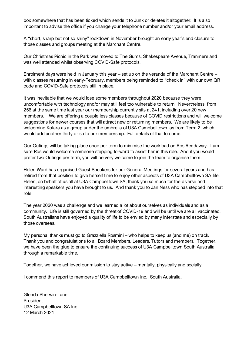box somewhere that has been ticked which sends it to Junk or deletes it altogether. It is also important to advise the office if you change your telephone number and/or your email address.

A "short, sharp but not so shiny" lockdown in November brought an early year's end closure to those classes and groups meeting at the Marchant Centre.

Our Christmas Picnic in the Park was moved to The Gums, Shakespeare Avenue, Tranmere and was well attended whilst observing COVID-Safe protocols.

Enrolment days were held in January this year – set up on the veranda of the Marchant Centre – with classes resuming in early-February, members being reminded to "check in" with our own QR code and COVID-Safe protocols still in place.

It was inevitable that we would lose some members throughout 2020 because they were uncomfortable with technology and/or may still feel too vulnerable to return. Nevertheless, from 256 at the same time last year our membership currently sits at 241, including over 20 new members. We are offering a couple less classes because of COVID restrictions and will welcome suggestions for newer courses that will attract new or returning members. We are likely to be welcoming Kotara as a group under the umbrella of U3A Campbelltown, as from Term 2, which would add another thirty or so to our membership. Full details of that to come.

Our Outings will be taking place once per term to minimise the workload on Ros Reddaway. I am sure Ros would welcome someone stepping forward to assist her in this role. And if you would prefer two Outings per term, you will be very welcome to join the team to organise them.

Helen Ward has organised Guest Speakers for our General Meetings for several years and has retired from that position to give herself time to enjoy other aspects of U3A Campbelltown SA life. Helen, on behalf of us all at U3A Campbelltown SA, thank you so much for the diverse and interesting speakers you have brought to us. And thank you to Jan Ness who has stepped into that role.

The year 2020 was a challenge and we learned a lot about ourselves as individuals and as a community. Life is still governed by the threat of COVID-19 and will be until we are all vaccinated. South Australians have enjoyed a quality of life to be envied by many interstate and especially by those overseas.

My personal thanks must go to Grazziella Rosmini – who helps to keep us (and me) on track. Thank you and congratulations to all Board Members, Leaders, Tutors and members. Together, we have been the glue to ensure the continuing success of U3A Campbelltown South Australia through a remarkable time.

Together, we have achieved our mission to stay active – mentally, physically and socially.

I commend this report to members of U3A Campbelltown Inc., South Australia.

Glenda Sherwin-Lane **President** U3A Campbelltown SA Inc 12 March 2021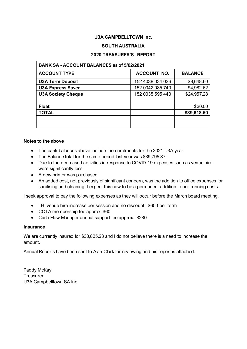## **U3A CAMPBELLTOWN Inc.**

#### **SOUTH AUSTRALIA**

#### **2020 TREASURER'S REPORT**

| <b>BANK SA - ACCOUNT BALANCES as of 5/02/2021</b> |                    |                |
|---------------------------------------------------|--------------------|----------------|
| <b>ACCOUNT TYPE</b>                               | <b>ACCOUNT NO.</b> | <b>BALANCE</b> |
| <b>U3A Term Deposit</b>                           | 152 4038 034 036   | \$9,648.60     |
| <b>U3A Express Saver</b>                          | 152 0042 085 740   | \$4,982.62     |
| <b>U3A Society Cheque</b>                         | 152 0035 595 440   | \$24,957.28    |
|                                                   |                    |                |
| <b>Float</b>                                      |                    | \$30.00        |
| <b>TOTAL</b>                                      |                    | \$39,618.50    |
|                                                   |                    |                |
|                                                   |                    |                |

#### **Notes to the above**

- The bank balances above include the enrolments for the 2021 U3A year.
- The Balance total for the same period last year was \$39,795.87.
- Due to the decreased activities in response to COVID-19 expenses such as venue hire were significantly less.
- A new printer was purchased.
- An added cost, not previously of significant concern, was the addition to office expenses for sanitising and cleaning. I expect this now to be a permanent addition to our running costs.

I seek approval to pay the following expenses as they will occur before the March board meeting.

- LHI venue hire increase per session and no discount: \$600 per term
- COTA membership fee approx. \$60
- Cash Flow Manager annual support fee approx. \$280

#### **Insurance**

We are currently insured for \$38,825.23 and I do not believe there is a need to increase the amount.

Annual Reports have been sent to Alan Clark for reviewing and his report is attached.

Paddy McKay **Treasurer** U3A Campbelltown SA Inc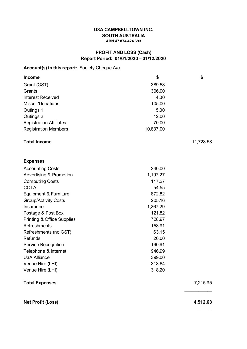#### **U3A CAMPBELLTOWN INC. SOUTH AUSTRALIA ABN 47 874 424 693**

# **PROFIT AND LOSS (Cash) Report Period: 01/01/2020 – 31/12/2020**

# **Account(s) in this report:** Society Cheque A/c

| <b>Income</b>                         | \$        | \$        |
|---------------------------------------|-----------|-----------|
| Grant (GST)                           | 389.58    |           |
| Grants                                | 306.00    |           |
| <b>Interest Received</b>              | 4.00      |           |
| Miscell/Donations                     | 105.00    |           |
| Outings 1                             | 5.00      |           |
| Outings 2                             | 12.00     |           |
| <b>Registration Affiliates</b>        | 70.00     |           |
| <b>Registration Members</b>           | 10,837.00 |           |
| <b>Total Income</b>                   |           | 11,728.58 |
| <b>Expenses</b>                       |           |           |
| <b>Accounting Costs</b>               | 240.00    |           |
| <b>Advertising &amp; Promotion</b>    | 1,197.27  |           |
| <b>Computing Costs</b>                | 117.27    |           |
| <b>COTA</b>                           | 54.55     |           |
| Equipment & Furniture                 | 872.82    |           |
| <b>Group/Activity Costs</b>           | 205.16    |           |
| Insurance                             | 1,267.29  |           |
| Postage & Post Box                    | 121.82    |           |
| <b>Printing &amp; Office Supplies</b> | 728.97    |           |
| <b>Refreshments</b>                   | 158.91    |           |
| Refreshments (no GST)                 | 63.15     |           |
| Refunds                               | 20.00     |           |
| Service Recognition                   | 190.91    |           |
| Telephone & Internet                  | 946.99    |           |
| <b>U3A Alliance</b>                   | 399.00    |           |
| Venue Hire (LHI)                      | 313.64    |           |
| Venue Hire (LHI)                      | 318.20    |           |
| <b>Total Expenses</b>                 |           | 7,215.95  |

**Net Profit (Loss) 4,512.63**

**\_\_\_\_\_\_\_\_\_\_\_\_**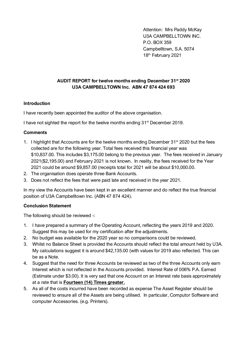Attention: Mrs Paddy McKay U3A CAMPBELLTOWN INC. P.O. BOX 359 Campbelltown, S.A. 5074 18th February 2021

# **AUDIT REPORT for twelve months ending December 31st 2020 U3A CAMPBELLTOWN Inc. ABN 47 874 424 693**

#### **Introduction**

I have recently been appointed the auditor of the above organisation.

I have not sighted the report for the twelve months ending 31<sup>st</sup> December 2019.

#### **Comments**

- 1. I highlight that Accounts are for the twelve months ending December  $31^{st}$  2020 but the fees collected are for the following year. Total fees received this financial year was \$10,837.00. This includes \$3,175.00 belong to the previous year. The fees received in January 2021(\$2,195.00) and February 2021 is not known. In reality, the fees received for the Year 2021 could be around \$9,857.00 (receipts total for 2021 will be about \$10,000.00.
- 2. The organisation does operate three Bank Accounts.
- 3. Does not reflect the fees that were paid late and received in the year 2021.

In my view the Accounts have been kept in an excellent manner and do reflect the true financial position of U3A Campbelltown Inc. (ABN 47 874 424).

#### **Conclusion Statement**

The following should be reviewed -:

- 1. I have prepared a summary of the Operating Account, reflecting the years 2019 and 2020. Suggest this may be used for my certification after the adjustments.
- 2. No budget was available for the 2020 year so no comparisons could be reviewed.
- 3. Whilst no Balance Sheet is provided the Accounts should reflect the total amount held by U3A. My calculations suggest it is around \$42,135.00 (with values for 2019 also reflected. This can be as a Note.
- 4. Suggest that the need for three Accounts be reviewed as two of the three Accounts only earn Interest which is not reflected in the Accounts provided. Interest Rate of 006% P.A. Earned (Estimate under \$3.00). It is very sad that one Account on an Interest rate basis approximately at a rate that is **Fourteen (14) Times greater.**
- 5. As all of the costs incurred have been recorded as expense The Asset Register should be reviewed to ensure all of the Assets are being utilised. In particular, Computor Software and computer Accessories. (e.g. Printers).